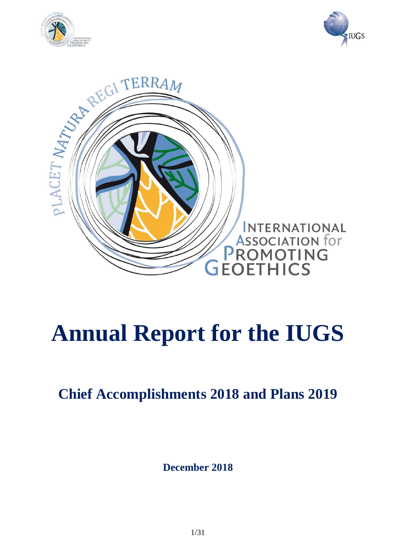





# **Annual Report for the IUGS**

**Chief Accomplishments 2018 and Plans 2019**

**December 2018**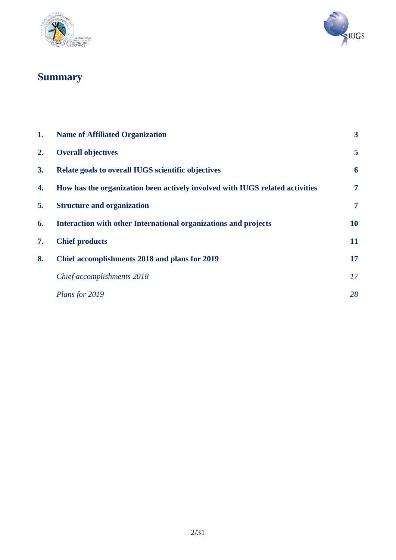



## **Summary**

| 1. | <b>Name of Affiliated Organization</b>                                       | $\overline{\mathbf{3}}$ |
|----|------------------------------------------------------------------------------|-------------------------|
| 2. | <b>Overall objectives</b>                                                    | 5                       |
| 3. | Relate goals to overall IUGS scientific objectives                           | 6                       |
| 4. | How has the organization been actively involved with IUGS related activities | $\overline{7}$          |
| 5. | <b>Structure and organization</b>                                            | 7                       |
| 6. | Interaction with other International organizations and projects              | 10                      |
| 7. | <b>Chief products</b>                                                        | 11                      |
| 8. | Chief accomplishments 2018 and plans for 2019                                | 17                      |
|    | Chief accomplishments 2018                                                   | 17                      |
|    | Plans for 2019                                                               | 28                      |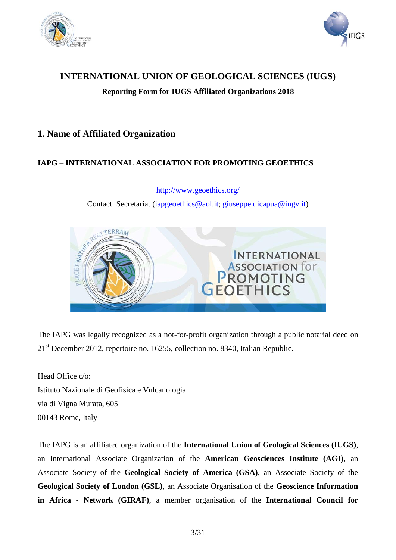



## **INTERNATIONAL UNION OF GEOLOGICAL SCIENCES (IUGS)**

**Reporting Form for IUGS Affiliated Organizations 2018**

## **1. Name of Affiliated Organization**

## **IAPG – INTERNATIONAL ASSOCIATION FOR PROMOTING GEOETHICS**

Contact: Secretariat [\(iapgeoethics@aol.it;](mailto:iapgeoethics@aol.it) giuseppe.dicapua@ingv.it) TERRAM **INTERNATIONAL EXECUTED**<br>ASSOCIATION for

<http://www.geoethics.org/>

The IAPG was legally recognized as a not-for-profit organization through a public notarial deed on 21<sup>st</sup> December 2012, repertoire no. 16255, collection no. 8340, Italian Republic.

Head Office c/o: Istituto Nazionale di Geofisica e Vulcanologia via di Vigna Murata, 605 00143 Rome, Italy

The IAPG is an affiliated organization of the **International Union of Geological Sciences (IUGS)**, an International Associate Organization of the **American Geosciences Institute (AGI)**, an Associate Society of the **Geological Society of America (GSA)**, an Associate Society of the **Geological Society of London (GSL)**, an Associate Organisation of the **Geoscience Information in Africa - Network (GIRAF)**, a member organisation of the **International Council for**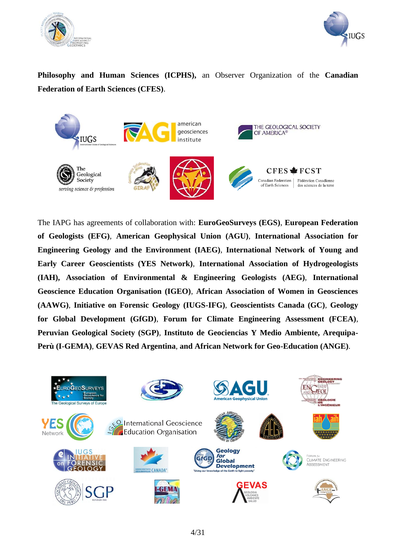



**Philosophy and Human Sciences (ICPHS),** an Observer Organization of the **Canadian Federation of Earth Sciences (CFES)**.



The IAPG has agreements of collaboration with: **EuroGeoSurveys (EGS)**, **European Federation of Geologists (EFG)**, **American Geophysical Union (AGU)**, **International Association for Engineering Geology and the Environment (IAEG)**, **International Network of Young and Early Career Geoscientists (YES Network)**, **International Association of Hydrogeologists (IAH), Association of Environmental & Engineering Geologists (AEG)**, **International Geoscience Education Organisation (IGEO)**, **African Association of Women in Geosciences (AAWG)**, **Initiative on Forensic Geology (IUGS-IFG)**, **Geoscientists Canada (GC)**, **Geology for Global Development (GfGD)**, **Forum for Climate Engineering Assessment (FCEA)**, **Peruvian Geological Society (SGP)**, **Instituto de Geociencias Y Medio Ambiente, Arequipa-Perù (I-GEMA)**, **GEVAS Red Argentina**, **and African Network for Geo-Education (ANGE)**.

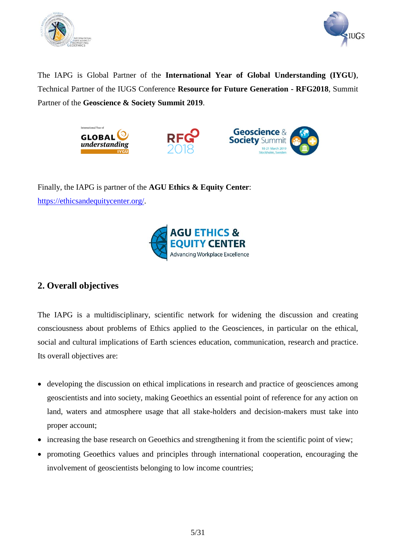



The IAPG is Global Partner of the **International Year of Global Understanding (IYGU)**, Technical Partner of the IUGS Conference **Resource for Future Generation - RFG2018**, Summit Partner of the **Geoscience & Society Summit 2019**.







Finally, the IAPG is partner of the **AGU Ethics & Equity Center**: [https://ethicsandequitycenter.org/.](https://ethicsandequitycenter.org/)



## **2. Overall objectives**

The IAPG is a multidisciplinary, scientific network for widening the discussion and creating consciousness about problems of Ethics applied to the Geosciences, in particular on the ethical, social and cultural implications of Earth sciences education, communication, research and practice. Its overall objectives are:

- developing the discussion on ethical implications in research and practice of geosciences among geoscientists and into society, making Geoethics an essential point of reference for any action on land, waters and atmosphere usage that all stake-holders and decision-makers must take into proper account;
- increasing the base research on Geoethics and strengthening it from the scientific point of view;
- promoting Geoethics values and principles through international cooperation, encouraging the involvement of geoscientists belonging to low income countries;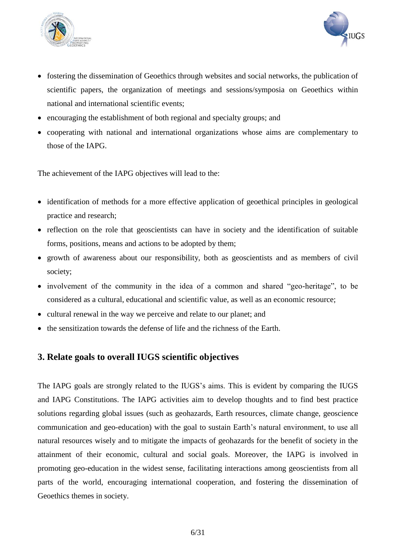



- fostering the dissemination of Geoethics through websites and social networks, the publication of scientific papers, the organization of meetings and sessions/symposia on Geoethics within national and international scientific events;
- encouraging the establishment of both regional and specialty groups; and
- cooperating with national and international organizations whose aims are complementary to those of the IAPG.

The achievement of the IAPG objectives will lead to the:

- identification of methods for a more effective application of geoethical principles in geological practice and research;
- reflection on the role that geoscientists can have in society and the identification of suitable forms, positions, means and actions to be adopted by them;
- growth of awareness about our responsibility, both as geoscientists and as members of civil society;
- involvement of the community in the idea of a common and shared "geo-heritage", to be considered as a cultural, educational and scientific value, as well as an economic resource;
- cultural renewal in the way we perceive and relate to our planet; and
- the sensitization towards the defense of life and the richness of the Earth.

## **3. Relate goals to overall IUGS scientific objectives**

The IAPG goals are strongly related to the IUGS's aims. This is evident by comparing the IUGS and IAPG Constitutions. The IAPG activities aim to develop thoughts and to find best practice solutions regarding global issues (such as geohazards, Earth resources, climate change, geoscience communication and geo-education) with the goal to sustain Earth's natural environment, to use all natural resources wisely and to mitigate the impacts of geohazards for the benefit of society in the attainment of their economic, cultural and social goals. Moreover, the IAPG is involved in promoting geo-education in the widest sense, facilitating interactions among geoscientists from all parts of the world, encouraging international cooperation, and fostering the dissemination of Geoethics themes in society.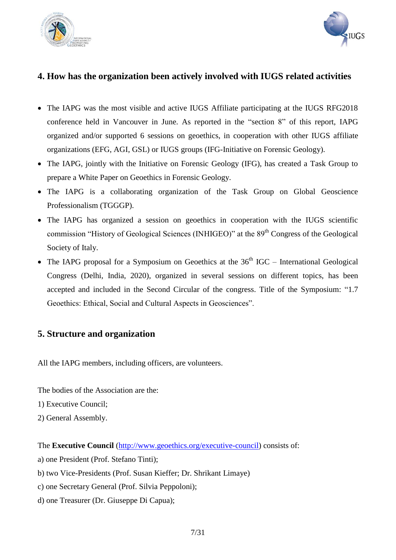



## **4. How has the organization been actively involved with IUGS related activities**

- The IAPG was the most visible and active IUGS Affiliate participating at the IUGS RFG2018 conference held in Vancouver in June. As reported in the "section 8" of this report, IAPG organized and/or supported 6 sessions on geoethics, in cooperation with other IUGS affiliate organizations (EFG, AGI, GSL) or IUGS groups (IFG-Initiative on Forensic Geology).
- The IAPG, jointly with the Initiative on Forensic Geology (IFG), has created a Task Group to prepare a White Paper on Geoethics in Forensic Geology.
- The IAPG is a collaborating organization of the Task Group on Global Geoscience Professionalism (TGGGP).
- The IAPG has organized a session on geoethics in cooperation with the IUGS scientific commission "History of Geological Sciences (INHIGEO)" at the 89<sup>th</sup> Congress of the Geological Society of Italy.
- The IAPG proposal for a Symposium on Geoethics at the  $36<sup>th</sup>$  IGC International Geological Congress (Delhi, India, 2020), organized in several sessions on different topics, has been accepted and included in the Second Circular of the congress. Title of the Symposium: "1.7 Geoethics: Ethical, Social and Cultural Aspects in Geosciences".

## **5. Structure and organization**

All the IAPG members, including officers, are volunteers.

The bodies of the Association are the:

- 1) Executive Council;
- 2) General Assembly.

The **Executive Council** [\(http://www.geoethics.org/executive-council\)](http://www.geoethics.org/executive-council) consists of:

- a) one President (Prof. Stefano Tinti);
- b) two Vice-Presidents (Prof. Susan Kieffer; Dr. Shrikant Limaye)
- c) one Secretary General (Prof. Silvia Peppoloni);
- d) one Treasurer (Dr. Giuseppe Di Capua);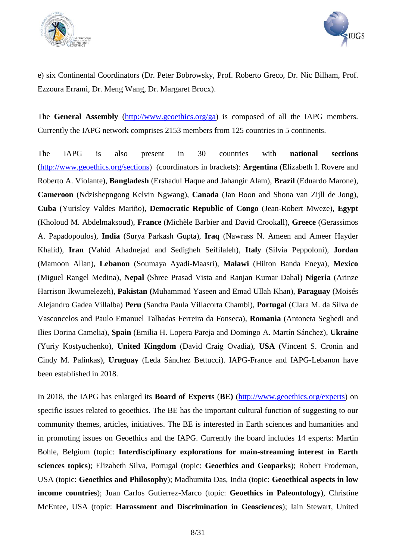



e) six Continental Coordinators (Dr. Peter Bobrowsky, Prof. Roberto Greco, Dr. Nic Bilham, Prof. Ezzoura Errami, Dr. Meng Wang, Dr. Margaret Brocx).

The **General Assembly** [\(http://www.geoethics.org/ga\)](http://www.geoethics.org/ga) is composed of all the IAPG members. Currently the IAPG network comprises 2153 members from 125 countries in 5 continents.

The IAPG is also present in 30 countries with **national sections** [\(http://www.geoethics.org/sections\)](http://www.geoethics.org/sections) (coordinators in brackets): **Argentina** (Elizabeth I. Rovere and Roberto A. Violante), **Bangladesh** (Ershadul Haque and Jahangir Alam), **Brazil** (Eduardo Marone), **Cameroon** (Ndzishepngong Kelvin Ngwang), **Canada** (Jan Boon and Shona van Zijll de Jong), **Cuba** (Yurisley Valdes Mariño), **Democratic Republic of Congo** (Jean-Robert Mweze), **Egypt** (Kholoud M. Abdelmaksoud), **France** (Michèle Barbier and David Crookall), **Greece** (Gerassimos A. Papadopoulos), **India** (Surya Parkash Gupta), **Iraq** (Nawrass N. Ameen and Ameer Hayder Khalid), **Iran** (Vahid Ahadnejad and Sedigheh Seifilaleh), **Italy** (Silvia Peppoloni), **Jordan** (Mamoon Allan), **Lebanon** (Soumaya Ayadi-Maasri), **Malawi** (Hilton Banda Eneya), **Mexico** (Miguel Rangel Medina), **Nepal** (Shree Prasad Vista and Ranjan Kumar Dahal) **Nigeria** (Arinze Harrison Ikwumelezeh), **Pakistan (**Muhammad Yaseen and Emad Ullah Khan), **Paraguay** (Moisés Alejandro Gadea Villalba) **Peru** (Sandra Paula Villacorta Chambi), **Portugal** (Clara M. da Silva de Vasconcelos and Paulo Emanuel Talhadas Ferreira da Fonseca), **Romania** (Antoneta Seghedi and Ilies Dorina Camelia), **Spain** (Emilia H. Lopera Pareja and Domingo A. Martín Sánchez), **Ukraine** (Yuriy Kostyuchenko), **United Kingdom** (David Craig Ovadia), **USA** (Vincent S. Cronin and Cindy M. Palinkas), **Uruguay** (Leda Sánchez Bettucci). IAPG-France and IAPG-Lebanon have been established in 2018.

In 2018, the IAPG has enlarged its **Board of Experts** (**BE)** [\(http://www.geoethics.org/experts\)](http://www.geoethics.org/experts) on specific issues related to geoethics. The BE has the important cultural function of suggesting to our community themes, articles, initiatives. The BE is interested in Earth sciences and humanities and in promoting issues on Geoethics and the IAPG. Currently the board includes 14 experts: Martin Bohle, Belgium (topic: **Interdisciplinary explorations for main-streaming interest in Earth sciences topics**); Elizabeth Silva, Portugal (topic: **Geoethics and Geoparks**); Robert Frodeman, USA (topic: **Geoethics and Philosophy**); Madhumita Das, India (topic: **Geoethical aspects in low income countries**); Juan Carlos Gutierrez-Marco (topic: **Geoethics in Paleontology**), Christine McEntee, USA (topic: **Harassment and Discrimination in Geosciences**); Iain Stewart, United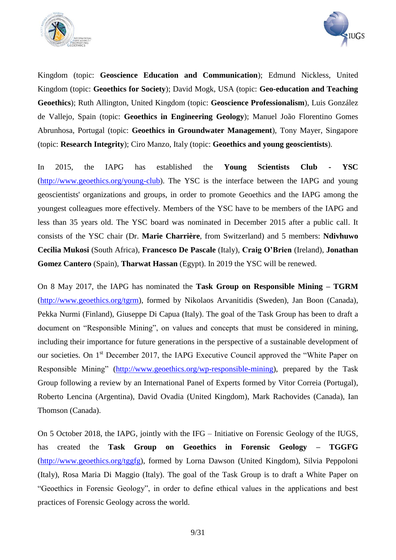



Kingdom (topic: **Geoscience Education and Communication**); Edmund Nickless, United Kingdom (topic: **Geoethics for Society**); David Mogk, USA (topic: **Geo-education and Teaching Geoethics**); Ruth Allington, United Kingdom (topic: **Geoscience Professionalism**), Luis González de Vallejo, Spain (topic: **Geoethics in Engineering Geology**); Manuel João Florentino Gomes Abrunhosa, Portugal (topic: **Geoethics in Groundwater Management**), Tony Mayer, Singapore (topic: **Research Integrity**); Ciro Manzo, Italy (topic: **Geoethics and young geoscientists**).

In 2015, the IAPG has established the **Young Scientists Club - YSC** [\(http://www.geoethics.org/young-club\)](http://www.geoethics.org/young-club). The YSC is the interface between the IAPG and young geoscientists' organizations and groups, in order to promote Geoethics and the IAPG among the youngest colleagues more effectively. Members of the YSC have to be members of the IAPG and less than 35 years old. The YSC board was nominated in December 2015 after a public call. It consists of the YSC chair (Dr. **Marie Charrière**, from Switzerland) and 5 members: **Ndivhuwo Cecilia Mukosi** (South Africa), **Francesco De Pascale** (Italy), **Craig O'Brien** (Ireland), **Jonathan Gomez Cantero** (Spain), **Tharwat Hassan** (Egypt). In 2019 the YSC will be renewed.

On 8 May 2017, the IAPG has nominated the **Task Group on Responsible Mining – TGRM**  [\(http://www.geoethics.org/tgrm\)](http://www.geoethics.org/tgrm), formed by Nikolaos Arvanitidis (Sweden), Jan Boon (Canada), Pekka Nurmi (Finland), Giuseppe Di Capua (Italy). The goal of the Task Group has been to draft a document on "Responsible Mining", on values and concepts that must be considered in mining, including their importance for future generations in the perspective of a sustainable development of our societies. On 1<sup>st</sup> December 2017, the IAPG Executive Council approved the "White Paper on Responsible Mining" [\(http://www.geoethics.org/wp-responsible-mining\)](http://www.geoethics.org/wp-responsible-mining), prepared by the Task Group following a review by an International Panel of Experts formed by Vitor Correia (Portugal), Roberto Lencina (Argentina), David Ovadia (United Kingdom), Mark Rachovides (Canada), Ian Thomson (Canada).

On 5 October 2018, the IAPG, jointly with the IFG – Initiative on Forensic Geology of the IUGS, has created the **Task Group on Geoethics in Forensic Geology – TGGFG**  [\(http://www.geoethics.org/tggfg\)](http://www.geoethics.org/tggfg), formed by Lorna Dawson (United Kingdom), Silvia Peppoloni (Italy), Rosa Maria Di Maggio (Italy). The goal of the Task Group is to draft a White Paper on "Geoethics in Forensic Geology", in order to define ethical values in the applications and best practices of Forensic Geology across the world.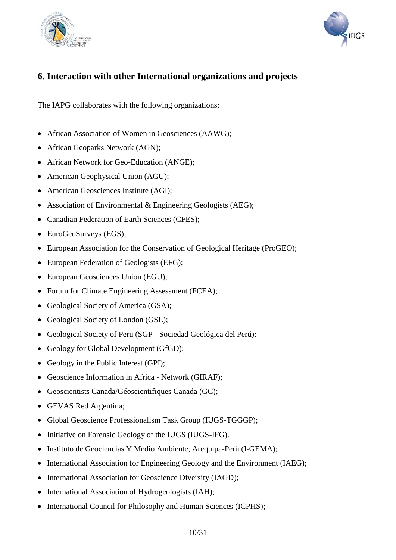



## **6. Interaction with other International organizations and projects**

The IAPG collaborates with the following organizations:

- African Association of Women in Geosciences (AAWG);
- African Geoparks Network (AGN);
- African Network for Geo-Education (ANGE);
- American Geophysical Union (AGU);
- American Geosciences Institute (AGI);
- Association of Environmental & Engineering Geologists (AEG);
- Canadian Federation of Earth Sciences (CFES);
- EuroGeoSurveys (EGS);
- European Association for the Conservation of Geological Heritage (ProGEO);
- European Federation of Geologists (EFG);
- European Geosciences Union (EGU);
- Forum for Climate Engineering Assessment (FCEA);
- Geological Society of America (GSA);
- Geological Society of London (GSL);
- Geological Society of Peru (SGP Sociedad Geológica del Perú);
- Geology for Global Development (GfGD);
- Geology in the Public Interest (GPI);
- Geoscience Information in Africa Network (GIRAF);
- Geoscientists Canada/Géoscientifiques Canada (GC);
- GEVAS Red Argentina;
- Global Geoscience Professionalism Task Group (IUGS-TGGGP);
- Initiative on Forensic Geology of the IUGS (IUGS-IFG).
- Instituto de Geociencias Y Medio Ambiente, Arequipa-Perù (I-GEMA);
- International Association for Engineering Geology and the Environment (IAEG);
- International Association for Geoscience Diversity (IAGD);
- International Association of Hydrogeologists (IAH);
- International Council for Philosophy and Human Sciences (ICPHS);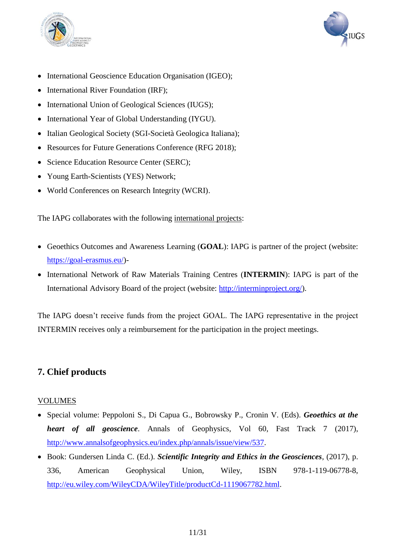



- International Geoscience Education Organisation (IGEO);
- International River Foundation (IRF);
- International Union of Geological Sciences (IUGS);
- International Year of Global Understanding (IYGU).
- Italian Geological Society (SGI-Società Geologica Italiana);
- Resources for Future Generations Conference (RFG 2018):
- Science Education Resource Center (SERC);
- Young Earth-Scientists (YES) Network;
- World Conferences on Research Integrity (WCRI).

The IAPG collaborates with the following international projects:

- Geoethics Outcomes and Awareness Learning (**GOAL**): IAPG is partner of the project (website: [https://goal-erasmus.eu/\)](https://goal-erasmus.eu/)-
- International Network of Raw Materials Training Centres (**INTERMIN**): IAPG is part of the International Advisory Board of the project (website: [http://interminproject.org/\)](http://interminproject.org/).

The IAPG doesn't receive funds from the project GOAL. The IAPG representative in the project INTERMIN receives only a reimbursement for the participation in the project meetings.

## **7. Chief products**

## VOLUMES

- Special volume: Peppoloni S., Di Capua G., Bobrowsky P., Cronin V. (Eds). *Geoethics at the heart of all geoscience*. Annals of Geophysics, Vol 60, Fast Track 7 (2017), [http://www.annalsofgeophysics.eu/index.php/annals/issue/view/537.](http://www.annalsofgeophysics.eu/index.php/annals/issue/view/537)
- Book: Gundersen Linda C. (Ed.). *Scientific Integrity and Ethics in the Geosciences*, (2017), p. 336, American Geophysical Union, Wiley, ISBN 978-1-119-06778-8, [http://eu.wiley.com/WileyCDA/WileyTitle/productCd-1119067782.html.](http://eu.wiley.com/WileyCDA/WileyTitle/productCd-1119067782.html)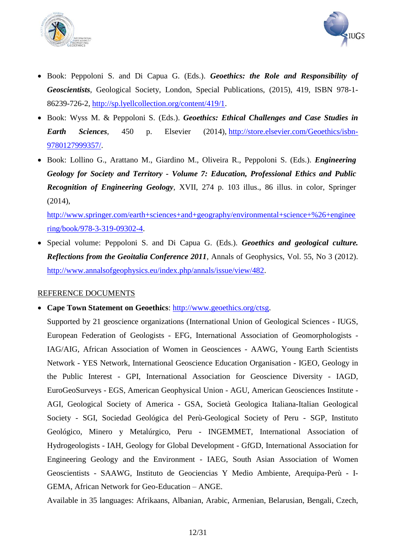



- Book: Peppoloni S. and Di Capua G. (Eds.). *Geoethics: the Role and Responsibility of Geoscientists*, Geological Society, London, Special Publications, (2015), 419, ISBN 978-1- 86239-726-2, [http://sp.lyellcollection.org/content/419/1.](http://sp.lyellcollection.org/content/419/1)
- Book: Wyss M. & Peppoloni S. (Eds.). *Geoethics: Ethical Challenges and Case Studies in Earth Sciences*, 450 p. Elsevier (2014), [http://store.elsevier.com/Geoethics/isbn-](http://store.elsevier.com/Geoethics/isbn-9780127999357/)[9780127999357/.](http://store.elsevier.com/Geoethics/isbn-9780127999357/)
- Book: Lollino G., Arattano M., Giardino M., Oliveira R., Peppoloni S. (Eds.). *Engineering Geology for Society and Territory - Volume 7: Education, Professional Ethics and Public Recognition of Engineering Geology*, XVII, 274 p. 103 illus., 86 illus. in color, Springer (2014),

[http://www.springer.com/earth+sciences+and+geography/environmental+science+%26+enginee](http://www.springer.com/earth+sciences+and+geography/environmental+science+%26+engineering/book/978-3-319-09302-4) [ring/book/978-3-319-09302-4.](http://www.springer.com/earth+sciences+and+geography/environmental+science+%26+engineering/book/978-3-319-09302-4)

 Special volume: Peppoloni S. and Di Capua G. (Eds.). *Geoethics and geological culture. Reflections from the Geoitalia Conference 2011*, Annals of Geophysics, Vol. 55, No 3 (2012). [http://www.annalsofgeophysics.eu/index.php/annals/issue/view/482.](http://www.annalsofgeophysics.eu/index.php/annals/issue/view/482)

#### REFERENCE DOCUMENTS

• Cape Town Statement on Geoethics: [http://www.geoethics.org/ctsg.](http://www.geoethics.org/ctsg)

Supported by 21 geoscience organizations (International Union of Geological Sciences - IUGS, European Federation of Geologists - EFG, International Association of Geomorphologists - IAG/AIG, African Association of Women in Geosciences - AAWG, Young Earth Scientists Network - YES Network, International Geoscience Education Organisation - IGEO, Geology in the Public Interest - GPI, International Association for Geoscience Diversity - IAGD, EuroGeoSurveys - EGS, American Geophysical Union - AGU, American Geosciences Institute - AGI, Geological Society of America - GSA, Società Geologica Italiana-Italian Geological Society - SGI, Sociedad Geológica del Perù-Geological Society of Peru - SGP, Instituto Geológico, Minero y Metalúrgico, Peru - INGEMMET, International Association of Hydrogeologists - IAH, Geology for Global Development - GfGD, International Association for Engineering Geology and the Environment - IAEG, South Asian Association of Women Geoscientists - SAAWG, Instituto de Geociencias Y Medio Ambiente, Arequipa-Perù - I-GEMA, African Network for Geo-Education – ANGE.

Available in 35 languages: Afrikaans, Albanian, Arabic, Armenian, Belarusian, Bengali, Czech,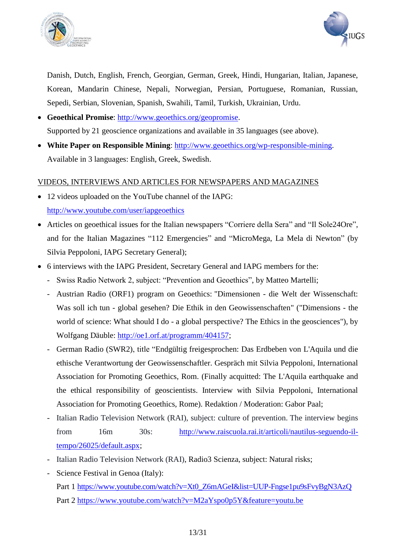



Danish, Dutch, English, French, Georgian, German, Greek, Hindi, Hungarian, Italian, Japanese, Korean, Mandarin Chinese, Nepali, Norwegian, Persian, Portuguese, Romanian, Russian, Sepedi, Serbian, Slovenian, Spanish, Swahili, Tamil, Turkish, Ukrainian, Urdu.

- **Geoethical Promise**: [http://www.geoethics.org/geopromise.](http://www.geoethics.org/geopromise) Supported by 21 geoscience organizations and available in 35 languages (see above).
- **White Paper on Responsible Mining**: [http://www.geoethics.org/wp-responsible-mining.](http://www.geoethics.org/wp-responsible-mining) Available in 3 languages: English, Greek, Swedish.

### VIDEOS, INTERVIEWS AND ARTICLES FOR NEWSPAPERS AND MAGAZINES

- 12 videos uploaded on the YouTube channel of the IAPG: <http://www.youtube.com/user/iapgeoethics>
- Articles on geoethical issues for the Italian newspapers "Corriere della Sera" and "Il Sole24Ore", and for the Italian Magazines "112 Emergencies" and "MicroMega, La Mela di Newton" (by Silvia Peppoloni, IAPG Secretary General);
- 6 interviews with the IAPG President, Secretary General and IAPG members for the:
	- Swiss Radio Network 2, subject: "Prevention and Geoethics", by Matteo Martelli;
	- Austrian Radio (ORF1) program on Geoethics: "Dimensionen die Welt der Wissenschaft: Was soll ich tun - global gesehen? Die Ethik in den Geowissenschaften" ("Dimensions - the world of science: What should I do - a global perspective? The Ethics in the geosciences"), by Wolfgang Däuble: [http://oe1.orf.at/programm/404157;](http://oe1.orf.at/programm/404157)
	- German Radio (SWR2), title "Endgültig freigesprochen: Das Erdbeben von L'Aquila und die ethische Verantwortung der Geowissenschaftler. Gespräch mit Silvia Peppoloni, International Association for Promoting Geoethics, Rom. (Finally acquitted: The L'Aquila earthquake and the ethical responsibility of geoscientists. Interview with Silvia Peppoloni, International Association for Promoting Geoethics, Rome). Redaktion / Moderation: Gabor Paal;
	- Italian Radio Television Network (RAI), subject: culture of prevention. The interview begins from 16m 30s: [http://www.raiscuola.rai.it/articoli/nautilus-seguendo-il](http://www.raiscuola.rai.it/articoli/nautilus-seguendo-il-tempo/26025/default.aspx)[tempo/26025/default.aspx;](http://www.raiscuola.rai.it/articoli/nautilus-seguendo-il-tempo/26025/default.aspx)
	- Italian Radio Television Network (RAI), Radio3 Scienza, subject: Natural risks;
	- Science Festival in Genoa (Italy): Part 1 [https://www.youtube.com/watch?v=Xt0\\_Z6mAGeI&list=UUP-Fngse1pu9sFvyBgN3AzQ](https://www.youtube.com/watch?v=Xt0_Z6mAGeI&list=UUP-Fngse1pu9sFvyBgN3AzQ) Part 2<https://www.youtube.com/watch?v=M2aYspo0p5Y&feature=youtu.be>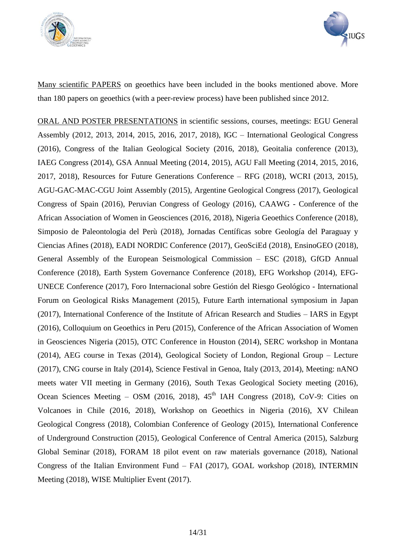



Many scientific PAPERS on geoethics have been included in the books mentioned above. More than 180 papers on geoethics (with a peer-review process) have been published since 2012.

ORAL AND POSTER PRESENTATIONS in scientific sessions, courses, meetings: EGU General Assembly (2012, 2013, 2014, 2015, 2016, 2017, 2018), IGC – International Geological Congress (2016), Congress of the Italian Geological Society (2016, 2018), Geoitalia conference (2013), IAEG Congress (2014), GSA Annual Meeting (2014, 2015), AGU Fall Meeting (2014, 2015, 2016, 2017, 2018), Resources for Future Generations Conference – RFG (2018), WCRI (2013, 2015), AGU-GAC-MAC-CGU Joint Assembly (2015), Argentine Geological Congress (2017), Geological Congress of Spain (2016), Peruvian Congress of Geology (2016), CAAWG - Conference of the African Association of Women in Geosciences (2016, 2018), Nigeria Geoethics Conference (2018), Simposio de Paleontologia del Perù (2018), Jornadas Centíficas sobre Geología del Paraguay y Ciencias Afines (2018), EADI NORDIC Conference (2017), GeoSciEd (2018), EnsinoGEO (2018), General Assembly of the European Seismological Commission – ESC (2018), GfGD Annual Conference (2018), Earth System Governance Conference (2018), EFG Workshop (2014), EFG-UNECE Conference (2017), Foro Internacional sobre Gestión del Riesgo Geológico - International Forum on Geological Risks Management (2015), Future Earth international symposium in Japan (2017), International Conference of the Institute of African Research and Studies – IARS in Egypt (2016), Colloquium on Geoethics in Peru (2015), Conference of the African Association of Women in Geosciences Nigeria (2015), OTC Conference in Houston (2014), SERC workshop in Montana (2014), AEG course in Texas (2014), Geological Society of London, Regional Group – Lecture (2017), CNG course in Italy (2014), Science Festival in Genoa, Italy (2013, 2014), Meeting: nANO meets water VII meeting in Germany (2016), South Texas Geological Society meeting (2016), Ocean Sciences Meeting – OSM (2016, 2018),  $45<sup>th</sup>$  IAH Congress (2018), CoV-9: Cities on Volcanoes in Chile (2016, 2018), Workshop on Geoethics in Nigeria (2016), XV Chilean Geological Congress (2018), Colombian Conference of Geology (2015), International Conference of Underground Construction (2015), Geological Conference of Central America (2015), Salzburg Global Seminar (2018), FORAM 18 pilot event on raw materials governance (2018), National Congress of the Italian Environment Fund – FAI (2017), GOAL workshop (2018), INTERMIN Meeting (2018), WISE Multiplier Event (2017).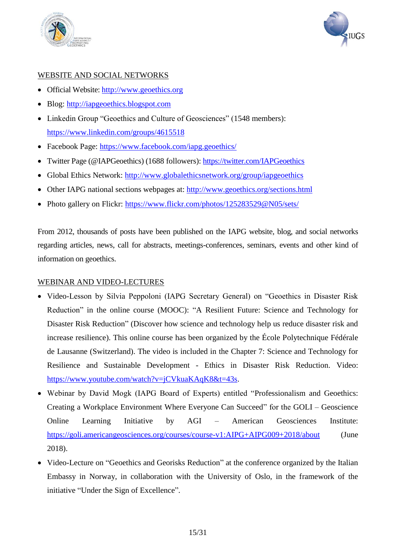



## WEBSITE AND SOCIAL NETWORKS

- Official Website: [http://www.geoethics.org](http://www.geoethics.org/)
- Blog: [http://iapgeoethics.blogspot.com](http://iapgeoethics.blogspot.com/)
- Linkedin Group "Geoethics and Culture of Geosciences" (1548 members): <https://www.linkedin.com/groups/4615518>
- Facebook Page:<https://www.facebook.com/iapg.geoethics/>
- Twitter Page (@IAPGeoethics) (1688 followers):<https://twitter.com/IAPGeoethics>
- Global Ethics Network:<http://www.globalethicsnetwork.org/group/iapgeoethics>
- Other IAPG national sections webpages at: <http://www.geoethics.org/sections.html>
- Photo gallery on Flickr:<https://www.flickr.com/photos/125283529@N05/sets/>

From 2012, thousands of posts have been published on the IAPG website, blog, and social networks regarding articles, news, call for abstracts, meetings-conferences, seminars, events and other kind of information on geoethics.

#### WEBINAR AND VIDEO-LECTURES

- Video-Lesson by Silvia Peppoloni (IAPG Secretary General) on "Geoethics in Disaster Risk Reduction" in the online course (MOOC): "A Resilient Future: Science and Technology for Disaster Risk Reduction" (Discover how science and technology help us reduce disaster risk and increase resilience). This online course has been organized by the École Polytechnique Fédérale de Lausanne (Switzerland). The video is included in the Chapter 7: Science and Technology for Resilience and Sustainable Development - Ethics in Disaster Risk Reduction. Video: [https://www.youtube.com/watch?v=jCVkuaKAqK8&t=43s.](https://www.youtube.com/watch?v=jCVkuaKAqK8&t=43s)
- Webinar by David Mogk (IAPG Board of Experts) entitled "Professionalism and Geoethics: Creating a Workplace Environment Where Everyone Can Succeed" for the GOLI – Geoscience Online Learning Initiative by AGI – American Geosciences Institute: <https://goli.americangeosciences.org/courses/course-v1:AIPG+AIPG009+2018/about> (June 2018).
- Video-Lecture on "Geoethics and Georisks Reduction" at the conference organized by the Italian Embassy in Norway, in collaboration with the University of Oslo, in the framework of the initiative "Under the Sign of Excellence".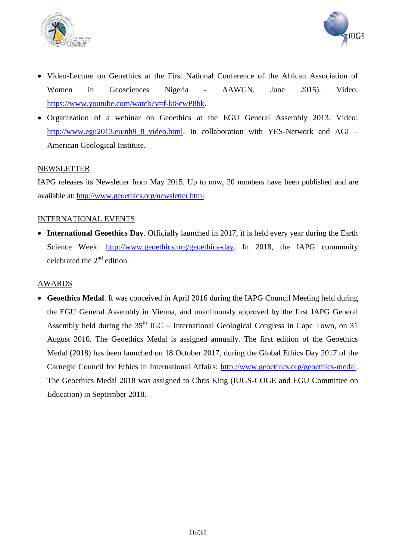



- Video-Lecture on Geoethics at the First National Conference of the African Association of Women in Geosciences Nigeria - AAWGN, June 2015). Video: [https://www.youtube.com/watch?v=f-ki8cwP8bk.](https://www.youtube.com/watch?v=f-ki8cwP8bk)
- Organization of a webinar on Geoethics at the EGU General Assembly 2013. Video: [http://www.egu2013.eu/nh9\\_8\\_video.html.](http://www.egu2013.eu/nh9_8_video.html) In collaboration with YES-Network and AGI – American Geological Institute.

### NEWSLETTER

IAPG releases its Newsletter from May 2015. Up to now, 20 numbers have been published and are available at: [http://www.geoethics.org/newsletter.html.](http://www.geoethics.org/newsletter.html)

### INTERNATIONAL EVENTS

• **International Geoethics Day**. Officially launched in 2017, it is held every year during the Earth Science Week: [http://www.geoethics.org/geoethics-day.](http://www.geoethics.org/geoethics-day) In 2018, the IAPG community celebrated the  $2<sup>nd</sup>$  edition.

#### AWARDS

 **Geoethics Medal**. It was conceived in April 2016 during the IAPG Council Meeting held during the EGU General Assembly in Vienna, and unanimously approved by the first IAPG General Assembly held during the  $35<sup>th</sup>$  IGC – International Geological Congress in Cape Town, on 31 August 2016. The Geoethics Medal is assigned annually. The first edition of the Geoethics Medal (2018) has been launched on 18 October 2017, during the Global Ethics Day 2017 of the Carnegie Council for Ethics in International Affairs: [http://www.geoethics.org/geoethics-medal.](http://www.geoethics.org/geoethics-medal) The Geoethics Medal 2018 was assigned to Chris King (IUGS-COGE and EGU Committee on Education) in September 2018.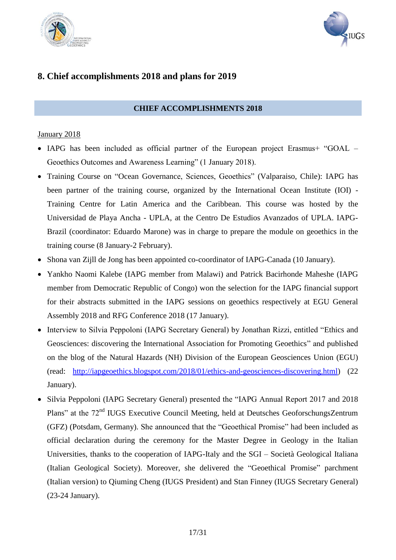



## **8. Chief accomplishments 2018 and plans for 2019**

## **CHIEF ACCOMPLISHMENTS 2018**

#### January 2018

- IAPG has been included as official partner of the European project Erasmus+ "GOAL Geoethics Outcomes and Awareness Learning" (1 January 2018).
- Training Course on "Ocean Governance, Sciences, Geoethics" (Valparaiso, Chile): IAPG has been partner of the training course, organized by the International Ocean Institute (IOI) - Training Centre for Latin America and the Caribbean. This course was hosted by the Universidad de Playa Ancha - UPLA, at the Centro De Estudios Avanzados of UPLA. IAPG-Brazil (coordinator: Eduardo Marone) was in charge to prepare the module on geoethics in the training course (8 January-2 February).
- Shona van Zijll de Jong has been appointed co-coordinator of IAPG-Canada (10 January).
- Yankho Naomi Kalebe (IAPG member from Malawi) and Patrick Bacirhonde Maheshe (IAPG member from Democratic Republic of Congo) won the selection for the IAPG financial support for their abstracts submitted in the IAPG sessions on geoethics respectively at EGU General Assembly 2018 and RFG Conference 2018 (17 January).
- Interview to Silvia Peppoloni (IAPG Secretary General) by Jonathan Rizzi, entitled "Ethics and Geosciences: discovering the International Association for Promoting Geoethics" and published on the blog of the Natural Hazards (NH) Division of the European Geosciences Union (EGU) (read: [http://iapgeoethics.blogspot.com/2018/01/ethics-and-geosciences-discovering.html\)](http://iapgeoethics.blogspot.com/2018/01/ethics-and-geosciences-discovering.html) (22 January).
- Silvia Peppoloni (IAPG Secretary General) presented the "IAPG Annual Report 2017 and 2018 Plans" at the 72<sup>nd</sup> IUGS Executive Council Meeting, held at Deutsches GeoforschungsZentrum (GFZ) (Potsdam, Germany). She announced that the "Geoethical Promise" had been included as official declaration during the ceremony for the Master Degree in Geology in the Italian Universities, thanks to the cooperation of IAPG-Italy and the SGI – Società Geological Italiana (Italian Geological Society). Moreover, she delivered the "Geoethical Promise" parchment (Italian version) to Qiuming Cheng (IUGS President) and Stan Finney (IUGS Secretary General) (23-24 January).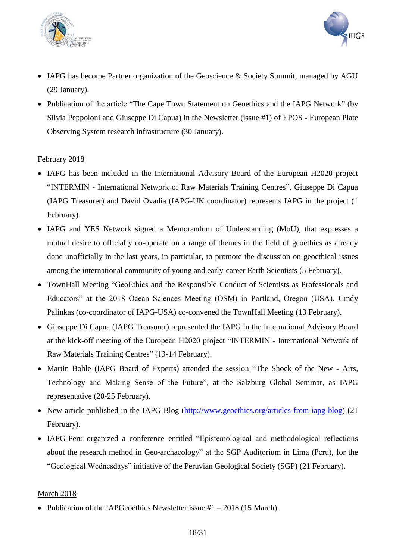



- IAPG has become Partner organization of the Geoscience & Society Summit, managed by AGU (29 January).
- Publication of the article "The Cape Town Statement on Geoethics and the IAPG Network" (by Silvia Peppoloni and Giuseppe Di Capua) in the Newsletter (issue #1) of EPOS - European Plate Observing System research infrastructure (30 January).

## February 2018

- IAPG has been included in the International Advisory Board of the European H2020 project "INTERMIN - International Network of Raw Materials Training Centres". Giuseppe Di Capua (IAPG Treasurer) and David Ovadia (IAPG-UK coordinator) represents IAPG in the project (1 February).
- IAPG and YES Network signed a Memorandum of Understanding (MoU), that expresses a mutual desire to officially co-operate on a range of themes in the field of geoethics as already done unofficially in the last years, in particular, to promote the discussion on geoethical issues among the international community of young and early-career Earth Scientists (5 February).
- TownHall Meeting "GeoEthics and the Responsible Conduct of Scientists as Professionals and Educators" at the 2018 Ocean Sciences Meeting (OSM) in Portland, Oregon (USA). Cindy Palinkas (co-coordinator of IAPG-USA) co-convened the TownHall Meeting (13 February).
- Giuseppe Di Capua (IAPG Treasurer) represented the IAPG in the International Advisory Board at the kick-off meeting of the European H2020 project "INTERMIN - International Network of Raw Materials Training Centres" (13-14 February).
- Martin Bohle (IAPG Board of Experts) attended the session "The Shock of the New Arts, Technology and Making Sense of the Future", at the Salzburg Global Seminar, as IAPG representative (20-25 February).
- New article published in the IAPG Blog [\(http://www.geoethics.org/articles-from-iapg-blog\)](http://www.geoethics.org/articles-from-iapg-blog) (21) February).
- IAPG-Peru organized a conference entitled "Epistemological and methodological reflections about the research method in Geo-archaeology" at the SGP Auditorium in Lima (Peru), for the "Geological Wednesdays" initiative of the Peruvian Geological Society (SGP) (21 February).

#### March 2018

• Publication of the IAPGeoethics Newsletter issue  $#1 - 2018$  (15 March).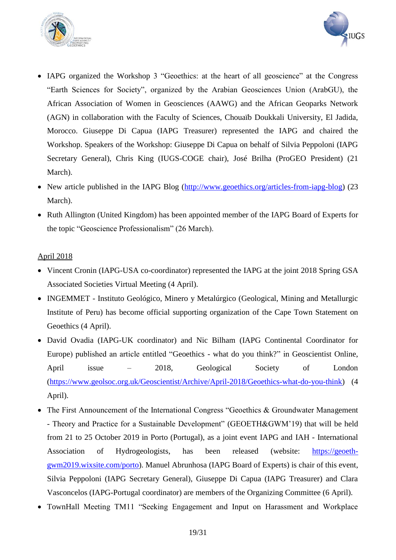



- IAPG organized the Workshop 3 "Geoethics: at the heart of all geoscience" at the Congress "Earth Sciences for Society", organized by the Arabian Geosciences Union (ArabGU), the African Association of Women in Geosciences (AAWG) and the African Geoparks Network (AGN) in collaboration with the Faculty of Sciences, Chouaïb Doukkali University, El Jadida, Morocco. Giuseppe Di Capua (IAPG Treasurer) represented the IAPG and chaired the Workshop. Speakers of the Workshop: Giuseppe Di Capua on behalf of Silvia Peppoloni (IAPG Secretary General), Chris King (IUGS-COGE chair), José Brilha (ProGEO President) (21 March).
- New article published in the IAPG Blog [\(http://www.geoethics.org/articles-from-iapg-blog\)](http://www.geoethics.org/articles-from-iapg-blog) (23 March).
- Ruth Allington (United Kingdom) has been appointed member of the IAPG Board of Experts for the topic "Geoscience Professionalism" (26 March).

## April 2018

- Vincent Cronin (IAPG-USA co-coordinator) represented the IAPG at the joint 2018 Spring GSA Associated Societies Virtual Meeting (4 April).
- INGEMMET Instituto Geológico, Minero y Metalúrgico (Geological, Mining and Metallurgic Institute of Peru) has become official supporting organization of the Cape Town Statement on Geoethics (4 April).
- David Ovadia (IAPG-UK coordinator) and Nic Bilham (IAPG Continental Coordinator for Europe) published an article entitled "Geoethics - what do you think?" in Geoscientist Online, April issue – 2018, Geological Society of London [\(https://www.geolsoc.org.uk/Geoscientist/Archive/April-2018/Geoethics-what-do-you-think\)](https://www.geolsoc.org.uk/Geoscientist/Archive/April-2018/Geoethics-what-do-you-think) (4 April).
- The First Announcement of the International Congress "Geoethics & Groundwater Management - Theory and Practice for a Sustainable Development" (GEOETH&GWM'19) that will be held from 21 to 25 October 2019 in Porto (Portugal), as a joint event IAPG and IAH - International Association of Hydrogeologists, has been released (website: [https://geoeth](https://geoeth-gwm2019.wixsite.com/porto)[gwm2019.wixsite.com/porto\)](https://geoeth-gwm2019.wixsite.com/porto). Manuel Abrunhosa (IAPG Board of Experts) is chair of this event, Silvia Peppoloni (IAPG Secretary General), Giuseppe Di Capua (IAPG Treasurer) and Clara Vasconcelos (IAPG-Portugal coordinator) are members of the Organizing Committee (6 April).
- TownHall Meeting TM11 "Seeking Engagement and Input on Harassment and Workplace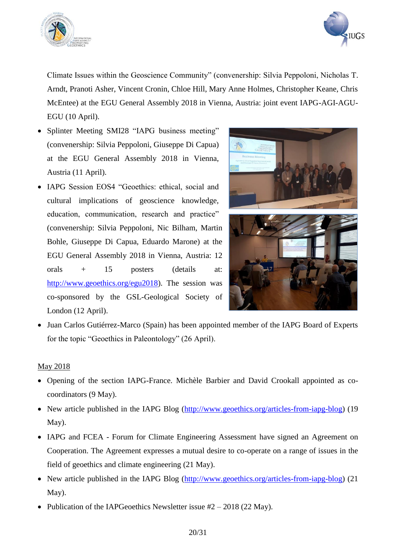



Climate Issues within the Geoscience Community" (convenership: Silvia Peppoloni, Nicholas T. Arndt, Pranoti Asher, Vincent Cronin, Chloe Hill, Mary Anne Holmes, Christopher Keane, Chris McEntee) at the EGU General Assembly 2018 in Vienna, Austria: joint event IAPG-AGI-AGU-EGU (10 April).

- Splinter Meeting SMI28 "IAPG business meeting" (convenership: Silvia Peppoloni, Giuseppe Di Capua) at the EGU General Assembly 2018 in Vienna, Austria (11 April).
- IAPG Session EOS4 "Geoethics: ethical, social and cultural implications of geoscience knowledge, education, communication, research and practice" (convenership: Silvia Peppoloni, Nic Bilham, Martin Bohle, Giuseppe Di Capua, Eduardo Marone) at the EGU General Assembly 2018 in Vienna, Austria: 12 orals + 15 posters (details at: [http://www.geoethics.org/egu2018\)](http://www.geoethics.org/egu2018). The session was co-sponsored by the GSL-Geological Society of London (12 April).



• Juan Carlos Gutiérrez-Marco (Spain) has been appointed member of the IAPG Board of Experts for the topic "Geoethics in Paleontology" (26 April).

#### May 2018

- Opening of the section IAPG-France. Michèle Barbier and David Crookall appointed as cocoordinators (9 May).
- New article published in the IAPG Blog [\(http://www.geoethics.org/articles-from-iapg-blog\)](http://www.geoethics.org/articles-from-iapg-blog) (19 May).
- IAPG and FCEA Forum for Climate Engineering Assessment have signed an Agreement on Cooperation. The Agreement expresses a mutual desire to co-operate on a range of issues in the field of geoethics and climate engineering (21 May).
- New article published in the IAPG Blog [\(http://www.geoethics.org/articles-from-iapg-blog\)](http://www.geoethics.org/articles-from-iapg-blog) (21) May).
- Publication of the IAPGeoethics Newsletter issue  $#2 2018$  (22 May).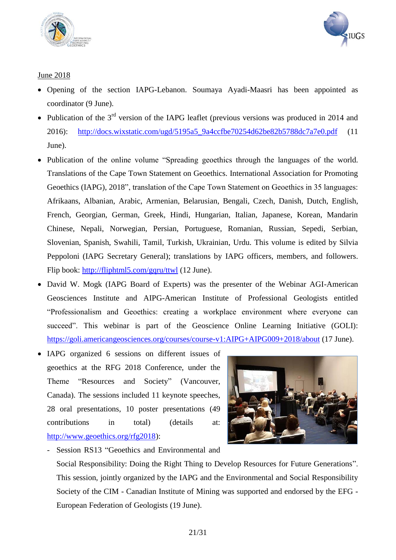



## June 2018

- Opening of the section IAPG-Lebanon. Soumaya Ayadi-Maasri has been appointed as coordinator (9 June).
- Publication of the  $3<sup>rd</sup>$  version of the IAPG leaflet (previous versions was produced in 2014 and 2016): [http://docs.wixstatic.com/ugd/5195a5\\_9a4ccfbe70254d62be82b5788dc7a7e0.pdf](http://docs.wixstatic.com/ugd/5195a5_9a4ccfbe70254d62be82b5788dc7a7e0.pdf) (11 June).
- Publication of the online volume "Spreading geoethics through the languages of the world. Translations of the Cape Town Statement on Geoethics. International Association for Promoting Geoethics (IAPG), 2018", translation of the Cape Town Statement on Geoethics in 35 languages: Afrikaans, Albanian, Arabic, Armenian, Belarusian, Bengali, Czech, Danish, Dutch, English, French, Georgian, German, Greek, Hindi, Hungarian, Italian, Japanese, Korean, Mandarin Chinese, Nepali, Norwegian, Persian, Portuguese, Romanian, Russian, Sepedi, Serbian, Slovenian, Spanish, Swahili, Tamil, Turkish, Ukrainian, Urdu. This volume is edited by Silvia Peppoloni (IAPG Secretary General); translations by IAPG officers, members, and followers. Flip book: [http://fliphtml5.com/gqru/ttwl](http://fliphtml5.com/gqru/ttwl%20(12) (12 June).
- David W. Mogk (IAPG Board of Experts) was the presenter of the Webinar AGI-American Geosciences Institute and AIPG-American Institute of Professional Geologists entitled "Professionalism and Geoethics: creating a workplace environment where everyone can succeed". This webinar is part of the Geoscience Online Learning Initiative (GOLI): <https://goli.americangeosciences.org/courses/course-v1:AIPG+AIPG009+2018/about> (17 June).
- IAPG organized 6 sessions on different issues of geoethics at the RFG 2018 Conference, under the Theme "Resources and Society" (Vancouver, Canada). The sessions included 11 keynote speeches, 28 oral presentations, 10 poster presentations (49 contributions in total) (details at: [http://www.geoethics.org/rfg2018\)](http://www.geoethics.org/rfg2018):



- Session RS13 "Geoethics and Environmental and Social Responsibility: Doing the Right Thing to Develop Resources for Future Generations". This session, jointly organized by the IAPG and the Environmental and Social Responsibility Society of the CIM - Canadian Institute of Mining was supported and endorsed by the EFG - European Federation of Geologists (19 June).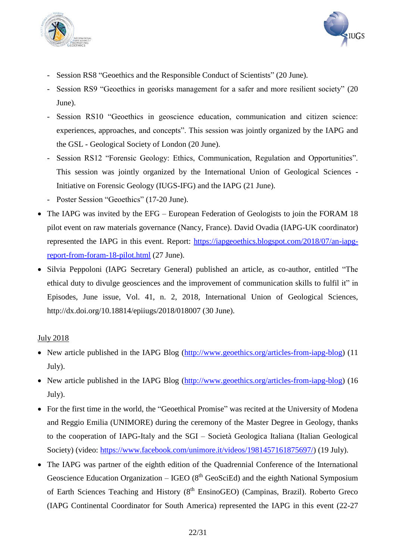



- Session RS8 "Geoethics and the Responsible Conduct of Scientists" (20 June).
- Session RS9 "Geoethics in georisks management for a safer and more resilient society" (20 June).
- Session RS10 "Geoethics in geoscience education, communication and citizen science: experiences, approaches, and concepts". This session was jointly organized by the IAPG and the GSL - Geological Society of London (20 June).
- Session RS12 "Forensic Geology: Ethics, Communication, Regulation and Opportunities". This session was jointly organized by the International Union of Geological Sciences - Initiative on Forensic Geology (IUGS-IFG) and the IAPG (21 June).
- Poster Session "Geoethics" (17-20 June).
- The IAPG was invited by the EFG European Federation of Geologists to join the FORAM 18 pilot event on raw materials governance (Nancy, France). David Ovadia (IAPG-UK coordinator) represented the IAPG in this event. Report: [https://iapgeoethics.blogspot.com/2018/07/an-iapg](https://iapgeoethics.blogspot.com/2018/07/an-iapg-report-from-foram-18-pilot.html)[report-from-foram-18-pilot.html](https://iapgeoethics.blogspot.com/2018/07/an-iapg-report-from-foram-18-pilot.html) (27 June).
- Silvia Peppoloni (IAPG Secretary General) published an article, as co-author, entitled "The ethical duty to divulge geosciences and the improvement of communication skills to fulfil it" in Episodes, June issue, Vol. 41, n. 2, 2018, International Union of Geological Sciences, http://dx.doi.org/10.18814/epiiugs/2018/018007 (30 June).

## July 2018

- New article published in the IAPG Blog [\(http://www.geoethics.org/articles-from-iapg-blog\)](http://www.geoethics.org/articles-from-iapg-blog) (11) July).
- New article published in the IAPG Blog [\(http://www.geoethics.org/articles-from-iapg-blog\)](http://www.geoethics.org/articles-from-iapg-blog) (16 July).
- For the first time in the world, the "Geoethical Promise" was recited at the University of Modena and Reggio Emilia (UNIMORE) during the ceremony of the Master Degree in Geology, thanks to the cooperation of IAPG-Italy and the SGI – Società Geologica Italiana (Italian Geological Society) (video: [https://www.facebook.com/unimore.it/videos/1981457161875697/\)](https://www.facebook.com/unimore.it/videos/1981457161875697/) (19 July).
- The IAPG was partner of the eighth edition of the Quadrennial Conference of the International Geoscience Education Organization – IGEO  $(8<sup>th</sup>$  GeoSciEd) and the eighth National Symposium of Earth Sciences Teaching and History (8<sup>th</sup> EnsinoGEO) (Campinas, Brazil). Roberto Greco (IAPG Continental Coordinator for South America) represented the IAPG in this event (22-27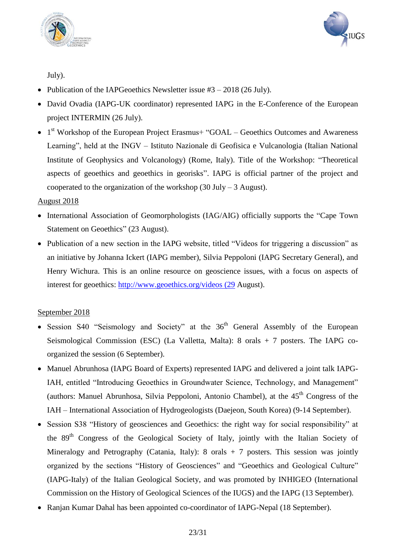



July).

- Publication of the IAPGeoethics Newsletter issue  $#3 2018$  (26 July).
- David Ovadia (IAPG-UK coordinator) represented IAPG in the E-Conference of the European project INTERMIN (26 July).
- $\bullet$  1<sup>st</sup> Workshop of the European Project Erasmus+ "GOAL Geoethics Outcomes and Awareness Learning", held at the INGV – Istituto Nazionale di Geofisica e Vulcanologia (Italian National Institute of Geophysics and Volcanology) (Rome, Italy). Title of the Workshop: "Theoretical aspects of geoethics and geoethics in georisks". IAPG is official partner of the project and cooperated to the organization of the workshop  $(30 \text{ July} - 3 \text{ August})$ .

## August 2018

- International Association of Geomorphologists (IAG/AIG) officially supports the "Cape Town Statement on Geoethics" (23 August).
- Publication of a new section in the IAPG website, titled "Videos for triggering a discussion" as an initiative by Johanna Ickert (IAPG member), Silvia Peppoloni (IAPG Secretary General), and Henry Wichura. This is an online resource on geoscience issues, with a focus on aspects of interest for geoethics: [http://www.geoethics.org/videos \(29](http://www.geoethics.org/videos%20(29) August).

## September 2018

- Session S40 "Seismology and Society" at the  $36<sup>th</sup>$  General Assembly of the European Seismological Commission (ESC) (La Valletta, Malta): 8 orals + 7 posters. The IAPG coorganized the session (6 September).
- Manuel Abrunhosa (IAPG Board of Experts) represented IAPG and delivered a joint talk IAPG-IAH, entitled "Introducing Geoethics in Groundwater Science, Technology, and Management" (authors: Manuel Abrunhosa, Silvia Peppoloni, Antonio Chambel), at the  $45<sup>th</sup>$  Congress of the IAH – International Association of Hydrogeologists (Daejeon, South Korea) (9-14 September).
- Session S38 "History of geosciences and Geoethics: the right way for social responsibility" at the 89th Congress of the Geological Society of Italy, jointly with the Italian Society of Mineralogy and Petrography (Catania, Italy): 8 orals + 7 posters. This session was jointly organized by the sections "History of Geosciences" and "Geoethics and Geological Culture" (IAPG-Italy) of the Italian Geological Society, and was promoted by INHIGEO (International Commission on the History of Geological Sciences of the IUGS) and the IAPG (13 September).
- Ranjan Kumar Dahal has been appointed co-coordinator of IAPG-Nepal (18 September).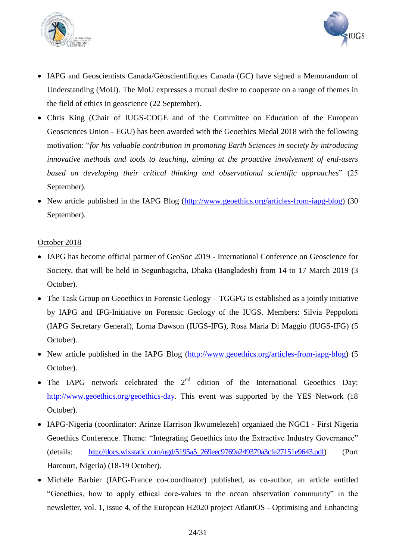



- IAPG and Geoscientists Canada/Géoscientifiques Canada (GC) have signed a Memorandum of Understanding (MoU). The MoU expresses a mutual desire to cooperate on a range of themes in the field of ethics in geoscience (22 September).
- Chris King (Chair of IUGS-COGE and of the Committee on Education of the European Geosciences Union - EGU) has been awarded with the Geoethics Medal 2018 with the following motivation: "*for his valuable contribution in promoting Earth Sciences in society by introducing innovative methods and tools to teaching, aiming at the proactive involvement of end-users based on developing their critical thinking and observational scientific approaches*" (25 September).
- New article published in the IAPG Blog [\(http://www.geoethics.org/articles-from-iapg-blog\)](http://www.geoethics.org/articles-from-iapg-blog) (30 September).

### October 2018

- IAPG has become official partner of GeoSoc 2019 International Conference on Geoscience for Society, that will be held in Segunbagicha, Dhaka (Bangladesh) from 14 to 17 March 2019 (3 October).
- The Task Group on Geoethics in Forensic Geology TGGFG is established as a jointly initiative by IAPG and IFG-Initiative on Forensic Geology of the IUGS. Members: Silvia Peppoloni (IAPG Secretary General), Lorna Dawson (IUGS-IFG), Rosa Maria Di Maggio (IUGS-IFG) (5 October).
- New article published in the IAPG Blog [\(http://www.geoethics.org/articles-from-iapg-blog\)](http://www.geoethics.org/articles-from-iapg-blog) (5 October).
- The IAPG network celebrated the  $2<sup>nd</sup>$  edition of the International Geoethics Day: [http://www.geoethics.org/geoethics-day.](http://www.geoethics.org/geoethics-day) This event was supported by the YES Network (18) October).
- IAPG-Nigeria (coordinator: Arinze Harrison Ikwumelezeh) organized the NGC1 First Nigeria Geoethics Conference. Theme: "Integrating Geoethics into the Extractive Industry Governance" (details: [http://docs.wixstatic.com/ugd/5195a5\\_269eec9769a249379a3cfe27151e9643.pdf\)](http://docs.wixstatic.com/ugd/5195a5_269eec9769a249379a3cfe27151e9643.pdf) (Port Harcourt, Nigeria) (18-19 October).
- Michèle Barbier (IAPG-France co-coordinator) published, as co-author, an article entitled "Geoethics, how to apply ethical core-values to the ocean observation community" in the newsletter, vol. 1, issue 4, of the European H2020 project AtlantOS - Optimising and Enhancing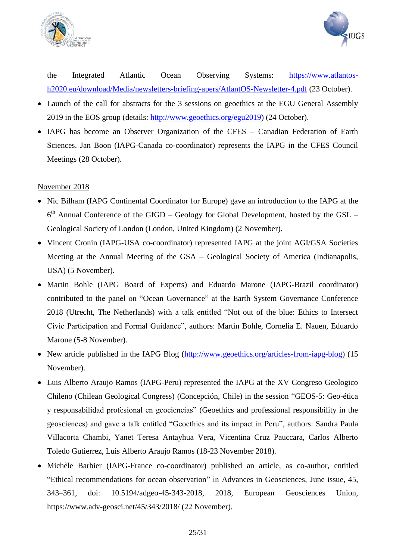



the Integrated Atlantic Ocean Observing Systems: [https://www.atlantos](https://www.atlantos-h2020.eu/download/Media/newsletters-briefing-apers/AtlantOS-Newsletter-4.pdf)[h2020.eu/download/Media/newsletters-briefing-apers/AtlantOS-Newsletter-4.pdf](https://www.atlantos-h2020.eu/download/Media/newsletters-briefing-apers/AtlantOS-Newsletter-4.pdf) (23 October).

- Launch of the call for abstracts for the 3 sessions on geoethics at the EGU General Assembly 2019 in the EOS group (details: [http://www.geoethics.org/egu2019\)](http://www.geoethics.org/egu2019) (24 October).
- IAPG has become an Observer Organization of the CFES Canadian Federation of Earth Sciences. Jan Boon (IAPG-Canada co-coordinator) represents the IAPG in the CFES Council Meetings (28 October).

### November 2018

- Nic Bilham (IAPG Continental Coordinator for Europe) gave an introduction to the IAPG at the  $6<sup>th</sup>$  Annual Conference of the GfGD – Geology for Global Development, hosted by the GSL – Geological Society of London (London, United Kingdom) (2 November).
- Vincent Cronin (IAPG-USA co-coordinator) represented IAPG at the joint AGI/GSA Societies Meeting at the Annual Meeting of the GSA – Geological Society of America (Indianapolis, USA) (5 November).
- Martin Bohle (IAPG Board of Experts) and Eduardo Marone (IAPG-Brazil coordinator) contributed to the panel on "Ocean Governance" at the Earth System Governance Conference 2018 (Utrecht, The Netherlands) with a talk entitled "Not out of the blue: Ethics to Intersect Civic Participation and Formal Guidance", authors: Martin Bohle, Cornelia E. Nauen, Eduardo Marone (5-8 November).
- New article published in the IAPG Blog [\(http://www.geoethics.org/articles-from-iapg-blog\)](http://www.geoethics.org/articles-from-iapg-blog) (15 November).
- Luis Alberto Araujo Ramos (IAPG-Peru) represented the IAPG at the XV Congreso Geologico Chileno (Chilean Geological Congress) (Concepción, Chile) in the session "GEOS-5: Geo-ética y responsabilidad profesional en geociencias" (Geoethics and professional responsibility in the geosciences) and gave a talk entitled "Geoethics and its impact in Peru", authors: Sandra Paula Villacorta Chambi, Yanet Teresa Antayhua Vera, Vicentina Cruz Pauccara, Carlos Alberto Toledo Gutierrez, Luis Alberto Araujo Ramos (18-23 November 2018).
- Michèle Barbier (IAPG-France co-coordinator) published an article, as co-author, entitled "Ethical recommendations for ocean observation" in Advances in Geosciences, June issue, 45, 343–361, doi: 10.5194/adgeo-45-343-2018, 2018, European Geosciences Union, https://www.adv-geosci.net/45/343/2018/ (22 November).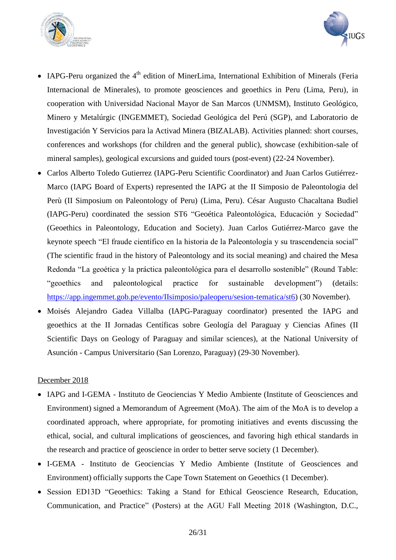



- IAPG-Peru organized the  $4<sup>th</sup>$  edition of MinerLima, International Exhibition of Minerals (Feria Internacional de Minerales), to promote geosciences and geoethics in Peru (Lima, Peru), in cooperation with Universidad Nacional Mayor de San Marcos (UNMSM), Instituto Geológico, Minero y Metalúrgic (INGEMMET), Sociedad Geológica del Perú (SGP), and Laboratorio de Investigación Y Servicios para la Activad Minera (BIZALAB). Activities planned: short courses, conferences and workshops (for children and the general public), showcase (exhibition-sale of mineral samples), geological excursions and guided tours (post-event) (22-24 November).
- Carlos Alberto Toledo Gutierrez (IAPG-Peru Scientific Coordinator) and Juan Carlos Gutiérrez-Marco (IAPG Board of Experts) represented the IAPG at the II Simposio de Paleontologia del Perù (II Simposium on Paleontology of Peru) (Lima, Peru). César Augusto Chacaltana Budiel (IAPG-Peru) coordinated the session ST6 "Geoética Paleontológica, Educación y Sociedad" (Geoethics in Paleontology, Education and Society). Juan Carlos Gutiérrez-Marco gave the keynote speech "El fraude científico en la historia de la Paleontología y su trascendencia social" (The scientific fraud in the history of Paleontology and its social meaning) and chaired the Mesa Redonda "La geoética y la práctica paleontológica para el desarrollo sostenible" (Round Table: "geoethics and paleontological practice for sustainable development") (details: [https://app.ingemmet.gob.pe/evento/IIsimposio/paleoperu/sesion-tematica/st6\)](https://app.ingemmet.gob.pe/evento/IIsimposio/paleoperu/sesion-tematica/st6) (30 November).
- Moisés Alejandro Gadea Villalba (IAPG-Paraguay coordinator) presented the IAPG and geoethics at the II Jornadas Centíficas sobre Geología del Paraguay y Ciencias Afines (II Scientific Days on Geology of Paraguay and similar sciences), at the National University of Asunción - Campus Universitario (San Lorenzo, Paraguay) (29-30 November).

#### December 2018

- IAPG and I-GEMA Instituto de Geociencias Y Medio Ambiente (Institute of Geosciences and Environment) signed a Memorandum of Agreement (MoA). The aim of the MoA is to develop a coordinated approach, where appropriate, for promoting initiatives and events discussing the ethical, social, and cultural implications of geosciences, and favoring high ethical standards in the research and practice of geoscience in order to better serve society (1 December).
- I-GEMA Instituto de Geociencias Y Medio Ambiente (Institute of Geosciences and Environment) officially supports the Cape Town Statement on Geoethics (1 December).
- Session ED13D "Geoethics: Taking a Stand for Ethical Geoscience Research, Education, Communication, and Practice" (Posters) at the AGU Fall Meeting 2018 (Washington, D.C.,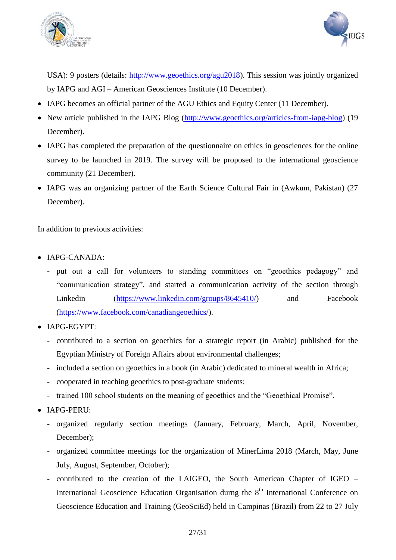



USA): 9 posters (details: [http://www.geoethics.org/agu2018\)](http://www.geoethics.org/agu2018). This session was jointly organized by IAPG and AGI – American Geosciences Institute (10 December).

- IAPG becomes an official partner of the AGU Ethics and Equity Center (11 December).
- New article published in the IAPG Blog [\(http://www.geoethics.org/articles-from-iapg-blog\)](http://www.geoethics.org/articles-from-iapg-blog) (19 December).
- IAPG has completed the preparation of the questionnaire on ethics in geosciences for the online survey to be launched in 2019. The survey will be proposed to the international geoscience community (21 December).
- IAPG was an organizing partner of the Earth Science Cultural Fair in (Awkum, Pakistan) (27 December).

In addition to previous activities:

- IAPG-CANADA:
	- put out a call for volunteers to standing committees on "geoethics pedagogy" and "communication strategy", and started a communication activity of the section through Linkedin [\(https://www.linkedin.com/groups/8645410/\)](https://www.linkedin.com/groups/8645410/) and Facebook [\(https://www.facebook.com/canadiangeoethics/\)](https://www.facebook.com/canadiangeoethics/).
- IAPG-EGYPT:
	- contributed to a section on geoethics for a strategic report (in Arabic) published for the Egyptian Ministry of Foreign Affairs about environmental challenges;
	- included a section on geoethics in a book (in Arabic) dedicated to mineral wealth in Africa;
	- cooperated in teaching geoethics to post-graduate students;
	- trained 100 school students on the meaning of geoethics and the "Geoethical Promise".
- IAPG-PERU:
	- organized regularly section meetings (January, February, March, April, November, December);
	- organized committee meetings for the organization of MinerLima 2018 (March, May, June July, August, September, October);
	- contributed to the creation of the LAIGEO, the South American Chapter of IGEO International Geoscience Education Organisation durng the  $8<sup>th</sup>$  International Conference on Geoscience Education and Training (GeoSciEd) held in Campinas (Brazil) from 22 to 27 July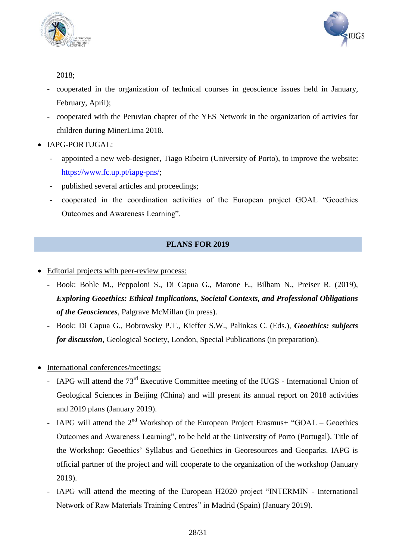



2018;

- cooperated in the organization of technical courses in geoscience issues held in January, February, April);
- cooperated with the Peruvian chapter of the YES Network in the organization of activies for children during MinerLima 2018.
- IAPG-PORTUGAL:
	- appointed a new web-designer, Tiago Ribeiro (University of Porto), to improve the website: [https://www.fc.up.pt/iapg-pns/;](https://www.fc.up.pt/iapg-pns/)
	- published several articles and proceedings;
	- cooperated in the coordination activities of the European project GOAL "Geoethics Outcomes and Awareness Learning".

## **PLANS FOR 2019**

- Editorial projects with peer-review process:
	- Book: Bohle M., Peppoloni S., Di Capua G., Marone E., Bilham N., Preiser R. (2019), *Exploring Geoethics: Ethical Implications, Societal Contexts, and Professional Obligations of the Geosciences*, Palgrave McMillan (in press).
	- Book: Di Capua G., Bobrowsky P.T., Kieffer S.W., Palinkas C. (Eds.), *Geoethics: subjects for discussion*, Geological Society, London, Special Publications (in preparation).
- International conferences/meetings:
	- IAPG will attend the 73<sup>rd</sup> Executive Committee meeting of the IUGS International Union of Geological Sciences in Beijing (China) and will present its annual report on 2018 activities and 2019 plans (January 2019).
	- IAPG will attend the  $2<sup>nd</sup>$  Workshop of the European Project Erasmus+ "GOAL Geoethics Outcomes and Awareness Learning", to be held at the University of Porto (Portugal). Title of the Workshop: Geoethics' Syllabus and Geoethics in Georesources and Geoparks. IAPG is official partner of the project and will cooperate to the organization of the workshop (January 2019).
	- IAPG will attend the meeting of the European H2020 project "INTERMIN International Network of Raw Materials Training Centres" in Madrid (Spain) (January 2019).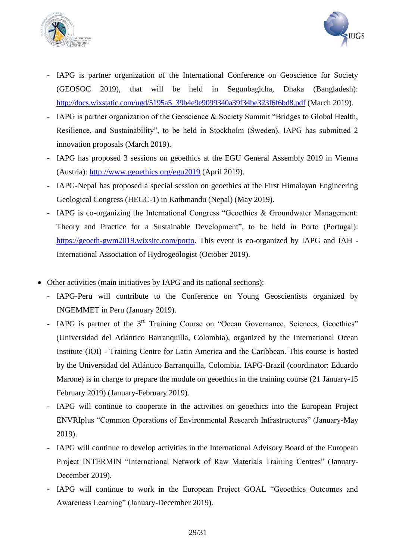



- IAPG is partner organization of the International Conference on Geoscience for Society (GEOSOC 2019), that will be held in Segunbagicha, Dhaka (Bangladesh): [http://docs.wixstatic.com/ugd/5195a5\\_39b4e9e9099340a39f34be323f6f6bd8.pdf](http://docs.wixstatic.com/ugd/5195a5_39b4e9e9099340a39f34be323f6f6bd8.pdf) (March 2019).
- IAPG is partner organization of the Geoscience & Society Summit "Bridges to Global Health, Resilience, and Sustainability", to be held in Stockholm (Sweden). IAPG has submitted 2 innovation proposals (March 2019).
- IAPG has proposed 3 sessions on geoethics at the EGU General Assembly 2019 in Vienna (Austria):<http://www.geoethics.org/egu2019> (April 2019).
- IAPG-Nepal has proposed a special session on geoethics at the First Himalayan Engineering Geological Congress (HEGC-1) in Kathmandu (Nepal) (May 2019).
- IAPG is co-organizing the International Congress "Geoethics & Groundwater Management: Theory and Practice for a Sustainable Development", to be held in Porto (Portugal): [https://geoeth-gwm2019.wixsite.com/porto.](https://geoeth-gwm2019.wixsite.com/porto) This event is co-organized by IAPG and IAH - International Association of Hydrogeologist (October 2019).
- Other activities (main initiatives by IAPG and its national sections):
	- IAPG-Peru will contribute to the Conference on Young Geoscientists organized by INGEMMET in Peru (January 2019).
	- IAPG is partner of the 3<sup>rd</sup> Training Course on "Ocean Governance, Sciences, Geoethics" (Universidad del Atlántico Barranquilla, Colombia), organized by the International Ocean Institute (IOI) - Training Centre for Latin America and the Caribbean. This course is hosted by the Universidad del Atlántico Barranquilla, Colombia. IAPG-Brazil (coordinator: Eduardo Marone) is in charge to prepare the module on geoethics in the training course (21 January-15 February 2019) (January-February 2019).
	- IAPG will continue to cooperate in the activities on geoethics into the European Project ENVRIplus "Common Operations of Environmental Research Infrastructures" (January-May 2019).
	- IAPG will continue to develop activities in the International Advisory Board of the European Project INTERMIN "International Network of Raw Materials Training Centres" (January-December 2019).
	- IAPG will continue to work in the European Project GOAL "Geoethics Outcomes and Awareness Learning" (January-December 2019).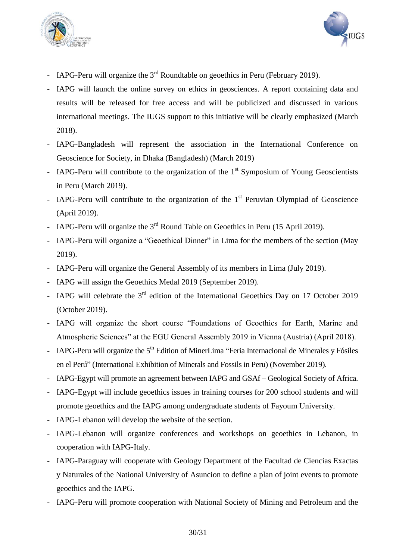



- IAPG-Peru will organize the  $3<sup>rd</sup>$  Roundtable on geoethics in Peru (February 2019).
- IAPG will launch the online survey on ethics in geosciences. A report containing data and results will be released for free access and will be publicized and discussed in various international meetings. The IUGS support to this initiative will be clearly emphasized (March 2018).
- IAPG-Bangladesh will represent the association in the International Conference on Geoscience for Society, in Dhaka (Bangladesh) (March 2019)
- IAPG-Peru will contribute to the organization of the  $1<sup>st</sup>$  Symposium of Young Geoscientists in Peru (March 2019).
- IAPG-Peru will contribute to the organization of the  $1<sup>st</sup>$  Peruvian Olympiad of Geoscience (April 2019).
- IAPG-Peru will organize the  $3<sup>rd</sup>$  Round Table on Geoethics in Peru (15 April 2019).
- IAPG-Peru will organize a "Geoethical Dinner" in Lima for the members of the section (May 2019).
- IAPG-Peru will organize the General Assembly of its members in Lima (July 2019).
- IAPG will assign the Geoethics Medal 2019 (September 2019).
- IAPG will celebrate the  $3<sup>rd</sup>$  edition of the International Geoethics Day on 17 October 2019 (October 2019).
- IAPG will organize the short course "Foundations of Geoethics for Earth, Marine and Atmospheric Sciences" at the EGU General Assembly 2019 in Vienna (Austria) (April 2018).
- IAPG-Peru will organize the 5<sup>th</sup> Edition of MinerLima "Feria Internacional de Minerales y Fósiles en el Perú" (International Exhibition of Minerals and Fossils in Peru) (November 2019).
- IAPG-Egypt will promote an agreement between IAPG and GSAf Geological Society of Africa.
- IAPG-Egypt will include geoethics issues in training courses for 200 school students and will promote geoethics and the IAPG among undergraduate students of Fayoum University.
- IAPG-Lebanon will develop the website of the section.
- IAPG-Lebanon will organize conferences and workshops on geoethics in Lebanon, in cooperation with IAPG-Italy.
- IAPG-Paraguay will cooperate with Geology Department of the Facultad de Ciencias Exactas y Naturales of the National University of Asuncion to define a plan of joint events to promote geoethics and the IAPG.
- IAPG-Peru will promote cooperation with National Society of Mining and Petroleum and the